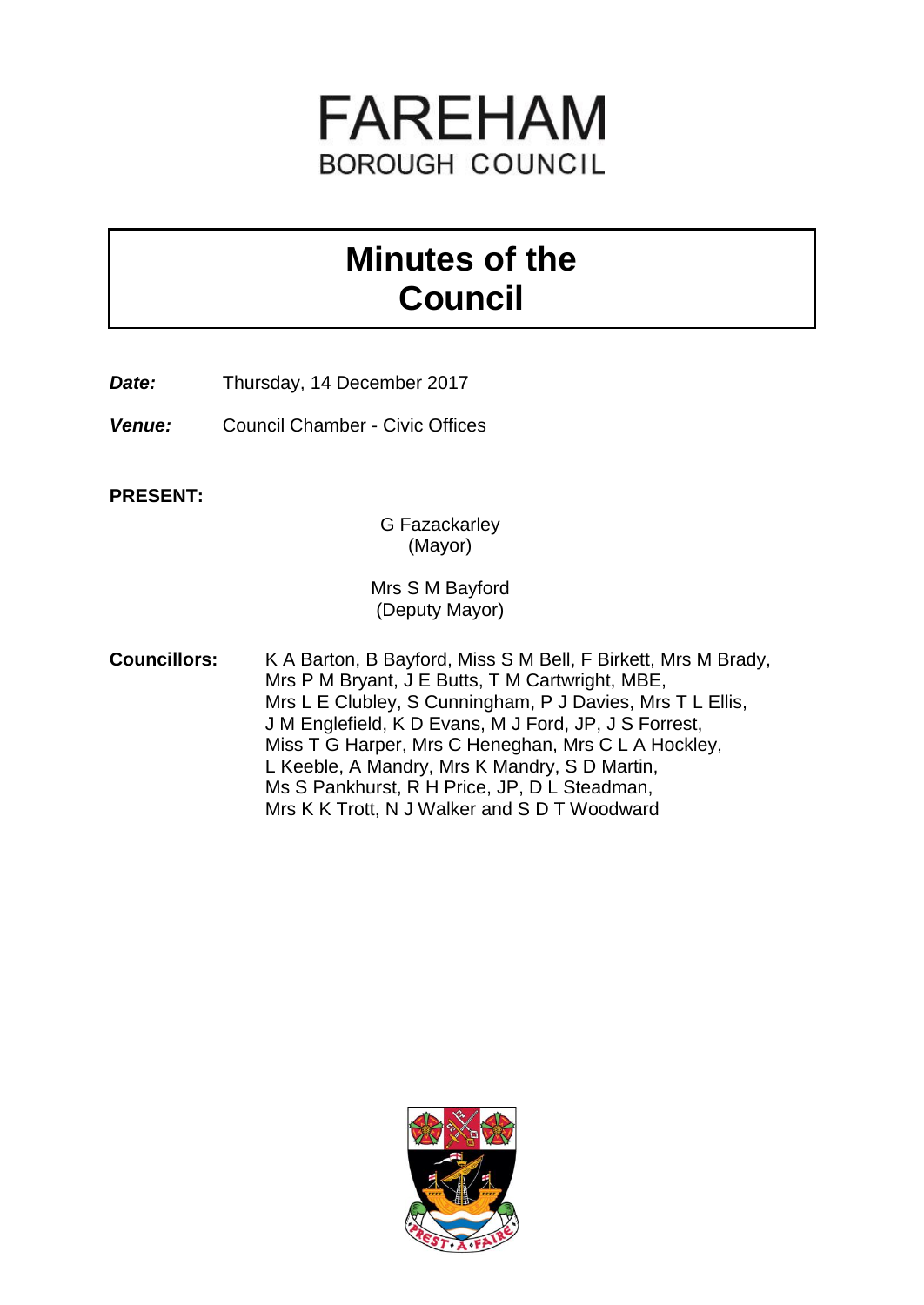

# **Minutes of the Council**

**Date:** Thursday, 14 December 2017

*Venue:* Council Chamber - Civic Offices

**PRESENT:**

G Fazackarley (Mayor)

Mrs S M Bayford (Deputy Mayor)

**Councillors:** K A Barton, B Bayford, Miss S M Bell, F Birkett, Mrs M Brady, Mrs P M Bryant, J E Butts, T M Cartwright, MBE, Mrs L E Clubley, S Cunningham, P J Davies, Mrs T L Ellis, J M Englefield, K D Evans, M J Ford, JP, J S Forrest, Miss T G Harper, Mrs C Heneghan, Mrs C L A Hockley, L Keeble, A Mandry, Mrs K Mandry, S D Martin, Ms S Pankhurst, R H Price, JP, D L Steadman, Mrs K K Trott, N J Walker and S D T Woodward

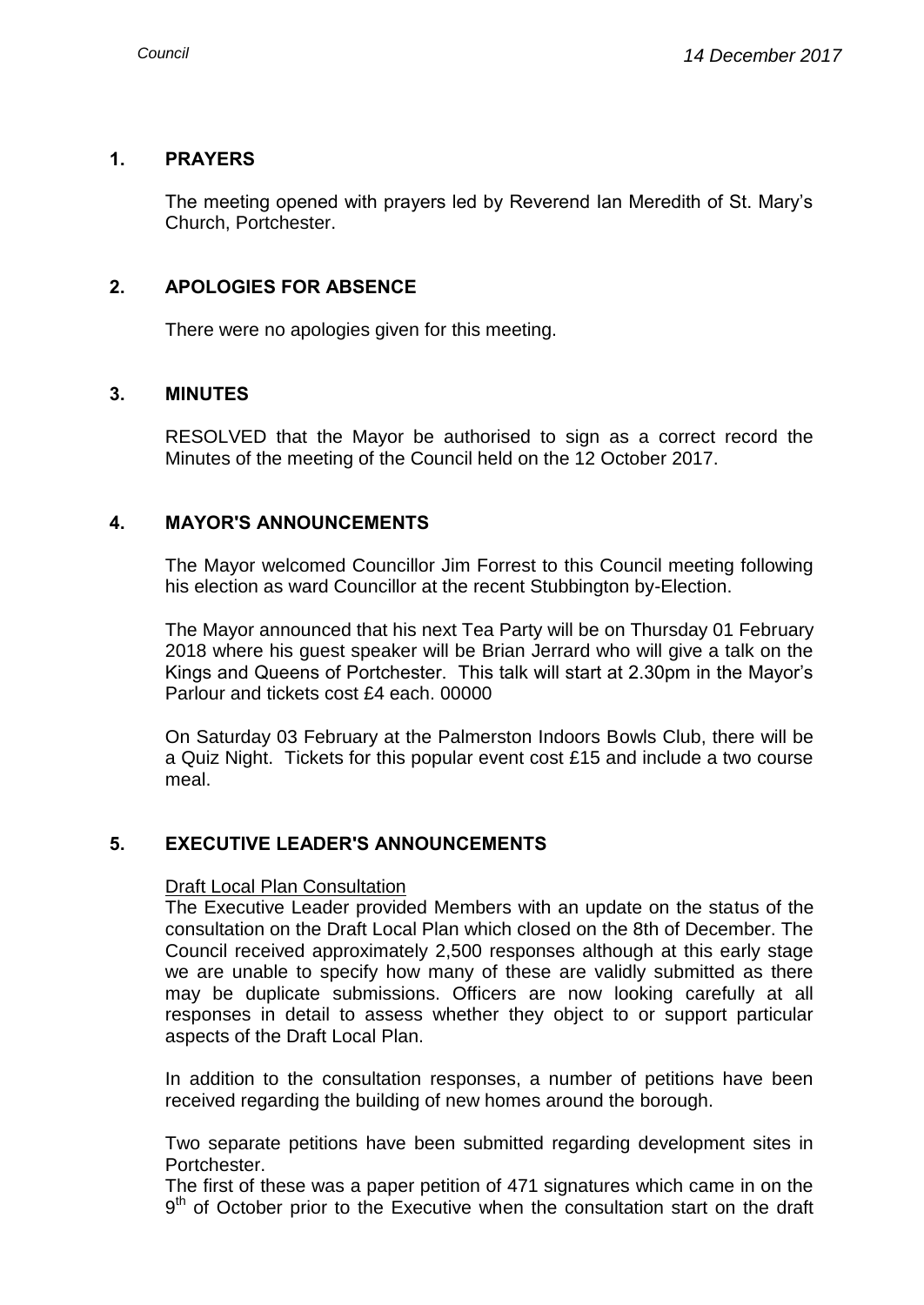## **1. PRAYERS**

The meeting opened with prayers led by Reverend Ian Meredith of St. Mary's Church, Portchester.

## **2. APOLOGIES FOR ABSENCE**

There were no apologies given for this meeting.

#### **3. MINUTES**

RESOLVED that the Mayor be authorised to sign as a correct record the Minutes of the meeting of the Council held on the 12 October 2017.

#### **4. MAYOR'S ANNOUNCEMENTS**

The Mayor welcomed Councillor Jim Forrest to this Council meeting following his election as ward Councillor at the recent Stubbington by-Election.

The Mayor announced that his next Tea Party will be on Thursday 01 February 2018 where his guest speaker will be Brian Jerrard who will give a talk on the Kings and Queens of Portchester. This talk will start at 2.30pm in the Mayor's Parlour and tickets cost £4 each. 00000

On Saturday 03 February at the Palmerston Indoors Bowls Club, there will be a Quiz Night. Tickets for this popular event cost £15 and include a two course meal.

## **5. EXECUTIVE LEADER'S ANNOUNCEMENTS**

#### Draft Local Plan Consultation

The Executive Leader provided Members with an update on the status of the consultation on the Draft Local Plan which closed on the 8th of December. The Council received approximately 2,500 responses although at this early stage we are unable to specify how many of these are validly submitted as there may be duplicate submissions. Officers are now looking carefully at all responses in detail to assess whether they object to or support particular aspects of the Draft Local Plan.

In addition to the consultation responses, a number of petitions have been received regarding the building of new homes around the borough.

Two separate petitions have been submitted regarding development sites in Portchester.

The first of these was a paper petition of 471 signatures which came in on the 9<sup>th</sup> of October prior to the Executive when the consultation start on the draft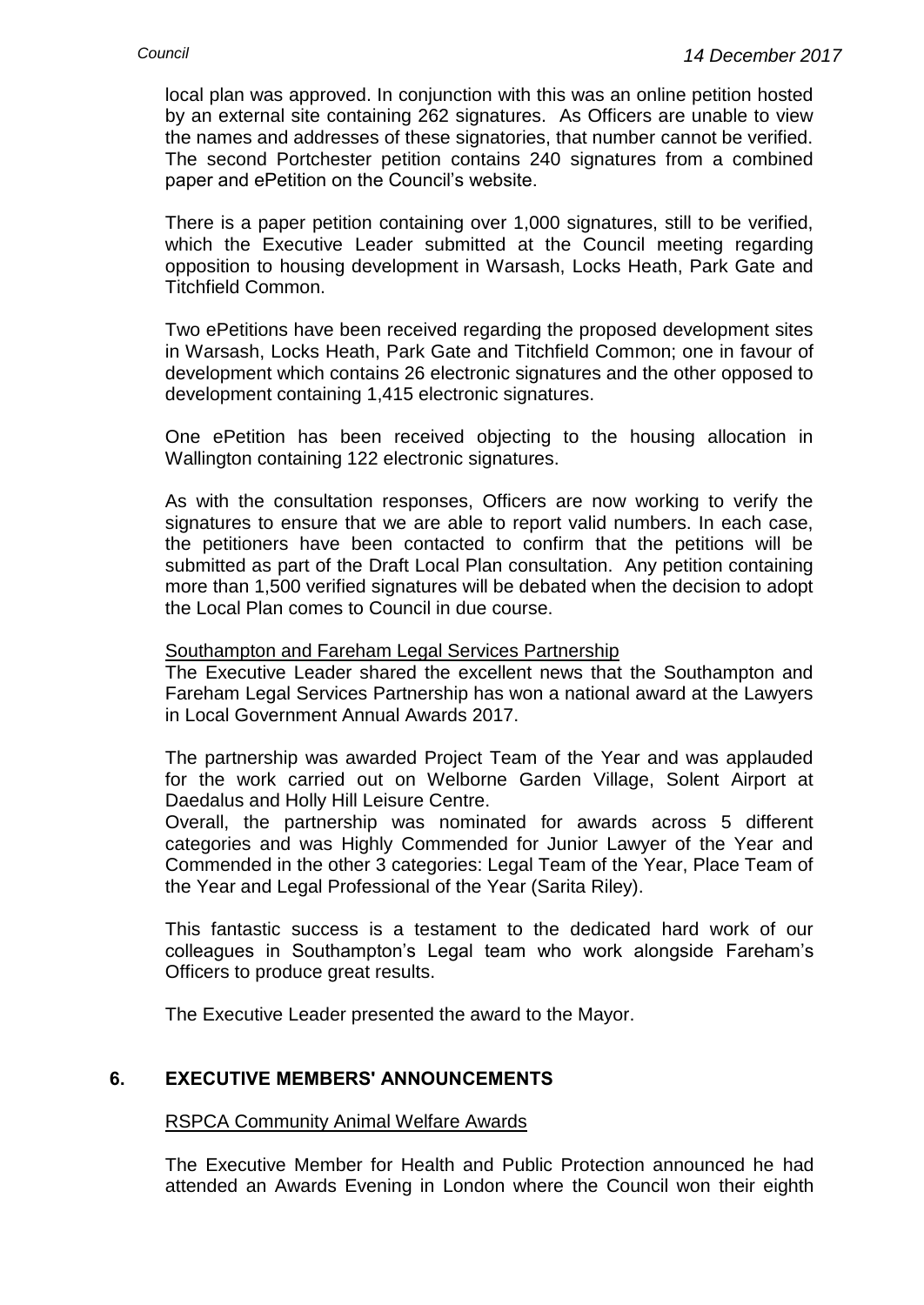local plan was approved. In conjunction with this was an online petition hosted by an external site containing 262 signatures. As Officers are unable to view the names and addresses of these signatories, that number cannot be verified. The second Portchester petition contains 240 signatures from a combined paper and ePetition on the Council's website.

There is a paper petition containing over 1,000 signatures, still to be verified, which the Executive Leader submitted at the Council meeting regarding opposition to housing development in Warsash, Locks Heath, Park Gate and Titchfield Common.

Two ePetitions have been received regarding the proposed development sites in Warsash, Locks Heath, Park Gate and Titchfield Common; one in favour of development which contains 26 electronic signatures and the other opposed to development containing 1,415 electronic signatures.

One ePetition has been received objecting to the housing allocation in Wallington containing 122 electronic signatures.

As with the consultation responses, Officers are now working to verify the signatures to ensure that we are able to report valid numbers. In each case, the petitioners have been contacted to confirm that the petitions will be submitted as part of the Draft Local Plan consultation. Any petition containing more than 1,500 verified signatures will be debated when the decision to adopt the Local Plan comes to Council in due course.

## Southampton and Fareham Legal Services Partnership

The Executive Leader shared the excellent news that the Southampton and Fareham Legal Services Partnership has won a national award at the Lawyers in Local Government Annual Awards 2017.

The partnership was awarded Project Team of the Year and was applauded for the work carried out on Welborne Garden Village, Solent Airport at Daedalus and Holly Hill Leisure Centre.

Overall, the partnership was nominated for awards across 5 different categories and was Highly Commended for Junior Lawyer of the Year and Commended in the other 3 categories: Legal Team of the Year, Place Team of the Year and Legal Professional of the Year (Sarita Riley).

This fantastic success is a testament to the dedicated hard work of our colleagues in Southampton's Legal team who work alongside Fareham's Officers to produce great results.

The Executive Leader presented the award to the Mayor.

## **6. EXECUTIVE MEMBERS' ANNOUNCEMENTS**

#### RSPCA Community Animal Welfare Awards

The Executive Member for Health and Public Protection announced he had attended an Awards Evening in London where the Council won their eighth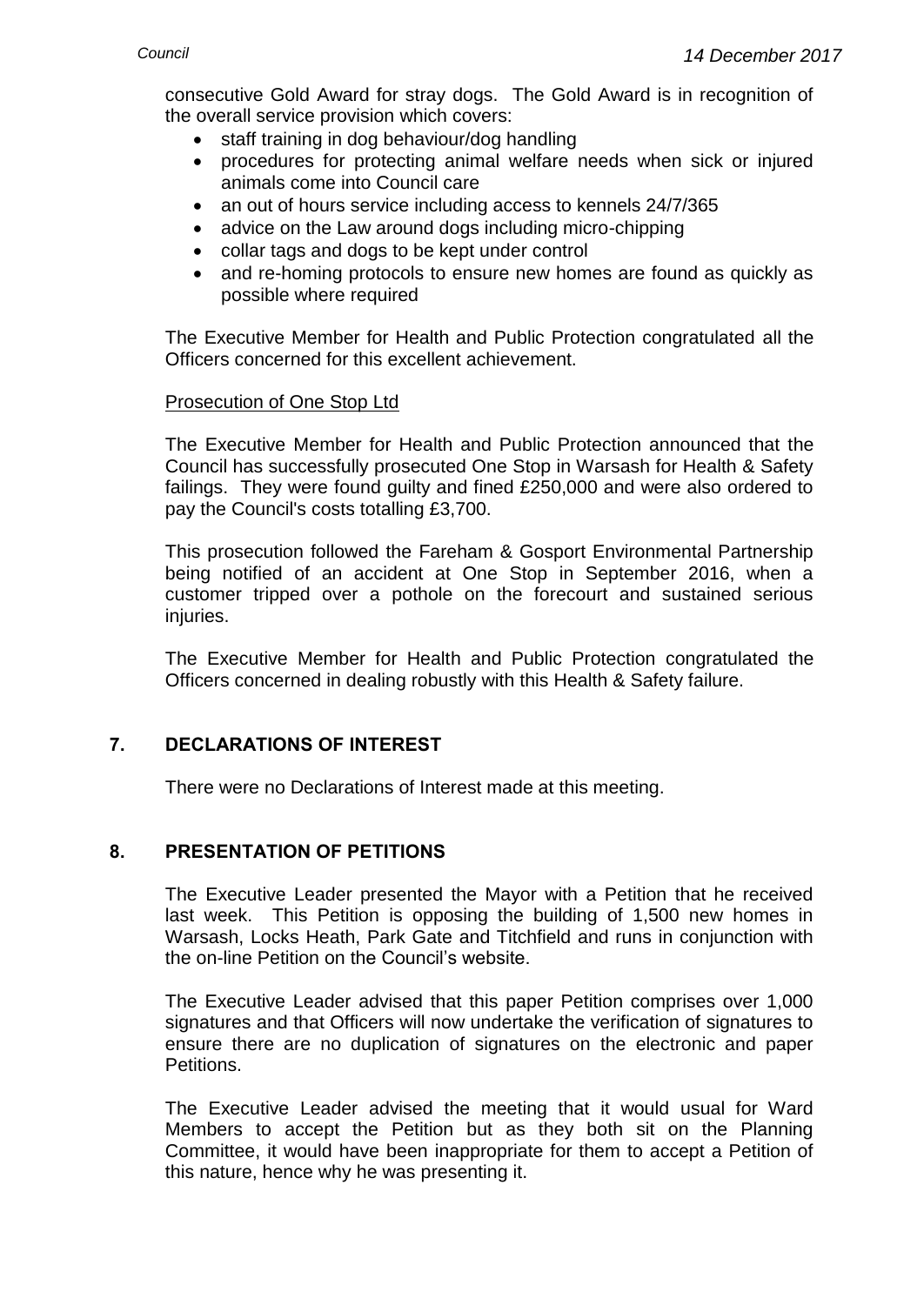consecutive Gold Award for stray dogs. The Gold Award is in recognition of the overall service provision which covers:

- staff training in dog behaviour/dog handling
- procedures for protecting animal welfare needs when sick or injured animals come into Council care
- an out of hours service including access to kennels 24/7/365
- advice on the Law around dogs including micro-chipping
- collar tags and dogs to be kept under control
- and re-homing protocols to ensure new homes are found as quickly as possible where required

The Executive Member for Health and Public Protection congratulated all the Officers concerned for this excellent achievement.

#### Prosecution of One Stop Ltd

The Executive Member for Health and Public Protection announced that the Council has successfully prosecuted One Stop in Warsash for Health & Safety failings. They were found guilty and fined £250,000 and were also ordered to pay the Council's costs totalling £3,700.

This prosecution followed the Fareham & Gosport Environmental Partnership being notified of an accident at One Stop in September 2016, when a customer tripped over a pothole on the forecourt and sustained serious injuries.

The Executive Member for Health and Public Protection congratulated the Officers concerned in dealing robustly with this Health & Safety failure.

## **7. DECLARATIONS OF INTEREST**

There were no Declarations of Interest made at this meeting.

## **8. PRESENTATION OF PETITIONS**

The Executive Leader presented the Mayor with a Petition that he received last week. This Petition is opposing the building of 1,500 new homes in Warsash, Locks Heath, Park Gate and Titchfield and runs in conjunction with the on-line Petition on the Council's website.

The Executive Leader advised that this paper Petition comprises over 1,000 signatures and that Officers will now undertake the verification of signatures to ensure there are no duplication of signatures on the electronic and paper Petitions.

The Executive Leader advised the meeting that it would usual for Ward Members to accept the Petition but as they both sit on the Planning Committee, it would have been inappropriate for them to accept a Petition of this nature, hence why he was presenting it.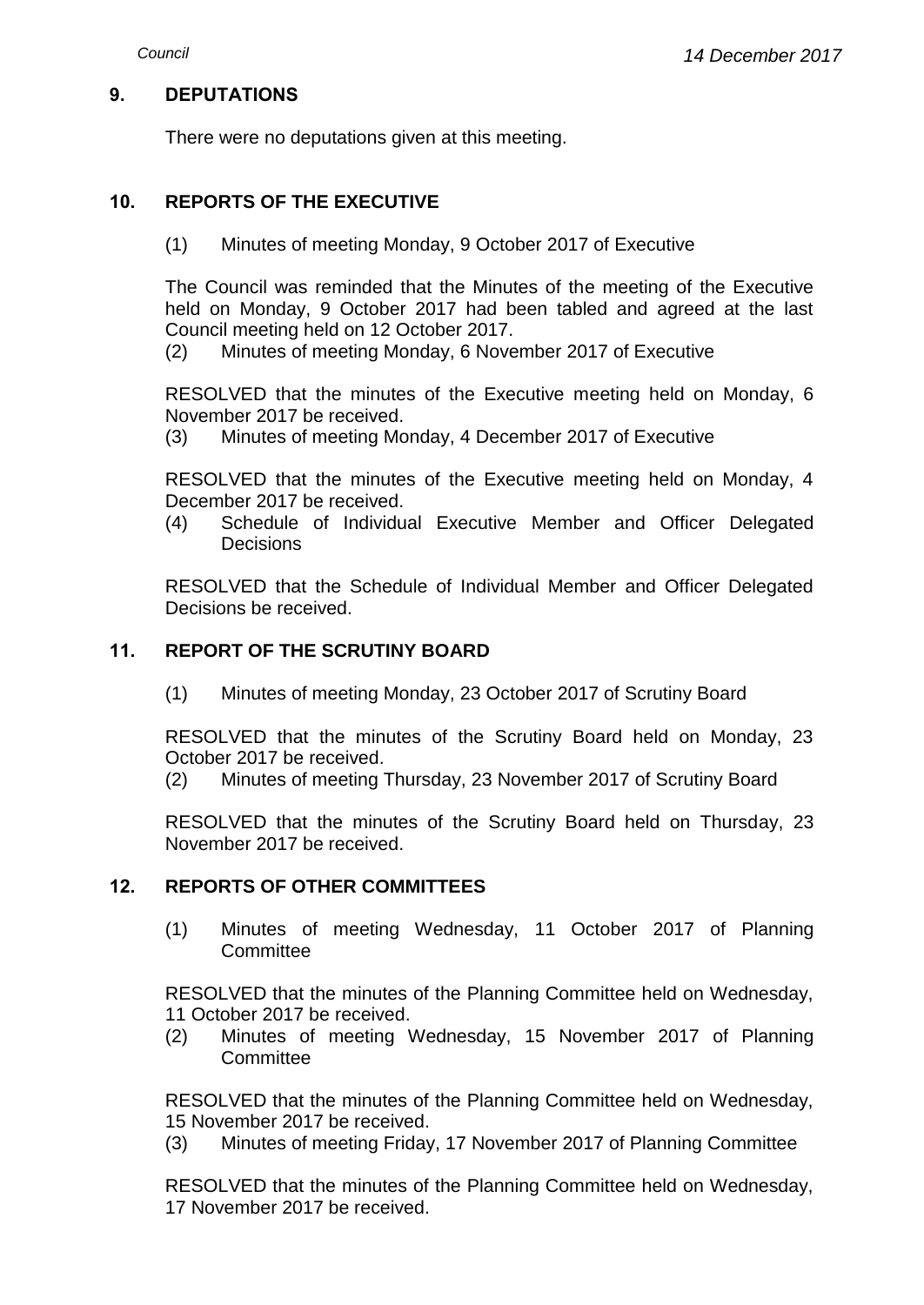## **9. DEPUTATIONS**

There were no deputations given at this meeting.

## **10. REPORTS OF THE EXECUTIVE**

(1) Minutes of meeting Monday, 9 October 2017 of Executive

The Council was reminded that the Minutes of the meeting of the Executive held on Monday, 9 October 2017 had been tabled and agreed at the last Council meeting held on 12 October 2017.

(2) Minutes of meeting Monday, 6 November 2017 of Executive

RESOLVED that the minutes of the Executive meeting held on Monday, 6 November 2017 be received.

(3) Minutes of meeting Monday, 4 December 2017 of Executive

RESOLVED that the minutes of the Executive meeting held on Monday, 4 December 2017 be received.

(4) Schedule of Individual Executive Member and Officer Delegated **Decisions** 

RESOLVED that the Schedule of Individual Member and Officer Delegated Decisions be received.

#### **11. REPORT OF THE SCRUTINY BOARD**

(1) Minutes of meeting Monday, 23 October 2017 of Scrutiny Board

RESOLVED that the minutes of the Scrutiny Board held on Monday, 23 October 2017 be received.

(2) Minutes of meeting Thursday, 23 November 2017 of Scrutiny Board

RESOLVED that the minutes of the Scrutiny Board held on Thursday, 23 November 2017 be received.

#### **12. REPORTS OF OTHER COMMITTEES**

(1) Minutes of meeting Wednesday, 11 October 2017 of Planning **Committee** 

RESOLVED that the minutes of the Planning Committee held on Wednesday, 11 October 2017 be received.

(2) Minutes of meeting Wednesday, 15 November 2017 of Planning **Committee** 

RESOLVED that the minutes of the Planning Committee held on Wednesday, 15 November 2017 be received.

(3) Minutes of meeting Friday, 17 November 2017 of Planning Committee

RESOLVED that the minutes of the Planning Committee held on Wednesday, 17 November 2017 be received.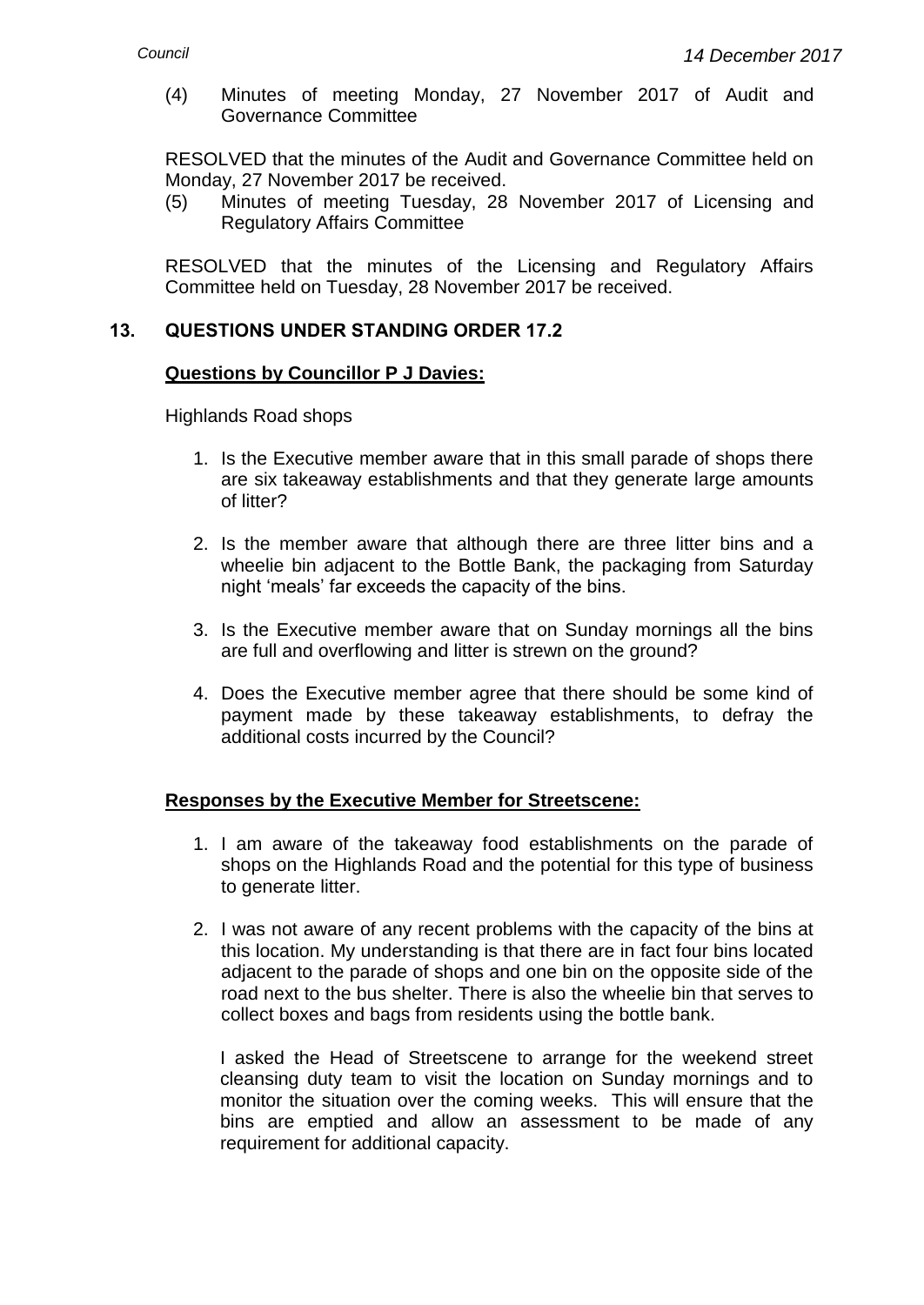(4) Minutes of meeting Monday, 27 November 2017 of Audit and Governance Committee

RESOLVED that the minutes of the Audit and Governance Committee held on Monday, 27 November 2017 be received.

(5) Minutes of meeting Tuesday, 28 November 2017 of Licensing and Regulatory Affairs Committee

RESOLVED that the minutes of the Licensing and Regulatory Affairs Committee held on Tuesday, 28 November 2017 be received.

## **13. QUESTIONS UNDER STANDING ORDER 17.2**

#### **Questions by Councillor P J Davies:**

Highlands Road shops

- 1. Is the Executive member aware that in this small parade of shops there are six takeaway establishments and that they generate large amounts of litter?
- 2. Is the member aware that although there are three litter bins and a wheelie bin adjacent to the Bottle Bank, the packaging from Saturday night 'meals' far exceeds the capacity of the bins.
- 3. Is the Executive member aware that on Sunday mornings all the bins are full and overflowing and litter is strewn on the ground?
- 4. Does the Executive member agree that there should be some kind of payment made by these takeaway establishments, to defray the additional costs incurred by the Council?

#### **Responses by the Executive Member for Streetscene:**

- 1. I am aware of the takeaway food establishments on the parade of shops on the Highlands Road and the potential for this type of business to generate litter.
- 2. I was not aware of any recent problems with the capacity of the bins at this location. My understanding is that there are in fact four bins located adjacent to the parade of shops and one bin on the opposite side of the road next to the bus shelter. There is also the wheelie bin that serves to collect boxes and bags from residents using the bottle bank.

I asked the Head of Streetscene to arrange for the weekend street cleansing duty team to visit the location on Sunday mornings and to monitor the situation over the coming weeks. This will ensure that the bins are emptied and allow an assessment to be made of any requirement for additional capacity.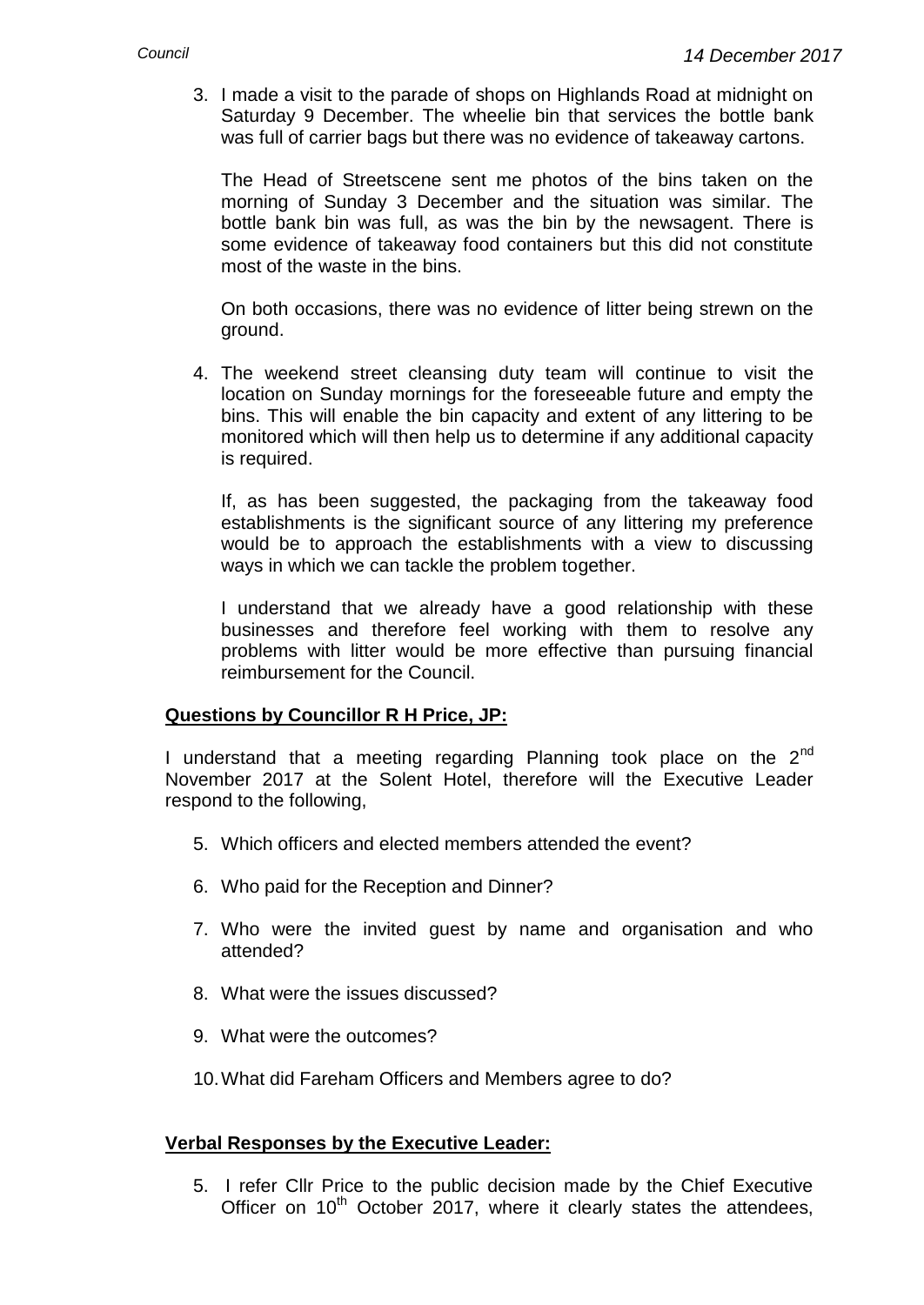3. I made a visit to the parade of shops on Highlands Road at midnight on Saturday 9 December. The wheelie bin that services the bottle bank was full of carrier bags but there was no evidence of takeaway cartons.

The Head of Streetscene sent me photos of the bins taken on the morning of Sunday 3 December and the situation was similar. The bottle bank bin was full, as was the bin by the newsagent. There is some evidence of takeaway food containers but this did not constitute most of the waste in the bins.

On both occasions, there was no evidence of litter being strewn on the ground.

4. The weekend street cleansing duty team will continue to visit the location on Sunday mornings for the foreseeable future and empty the bins. This will enable the bin capacity and extent of any littering to be monitored which will then help us to determine if any additional capacity is required.

If, as has been suggested, the packaging from the takeaway food establishments is the significant source of any littering my preference would be to approach the establishments with a view to discussing ways in which we can tackle the problem together.

I understand that we already have a good relationship with these businesses and therefore feel working with them to resolve any problems with litter would be more effective than pursuing financial reimbursement for the Council.

#### **Questions by Councillor R H Price, JP:**

I understand that a meeting regarding Planning took place on the 2<sup>nd</sup> November 2017 at the Solent Hotel, therefore will the Executive Leader respond to the following,

- 5. Which officers and elected members attended the event?
- 6. Who paid for the Reception and Dinner?
- 7. Who were the invited guest by name and organisation and who attended?
- 8. What were the issues discussed?
- 9. What were the outcomes?
- 10.What did Fareham Officers and Members agree to do?

#### **Verbal Responses by the Executive Leader:**

5. I refer Cllr Price to the public decision made by the Chief Executive Officer on  $10<sup>th</sup>$  October 2017, where it clearly states the attendees,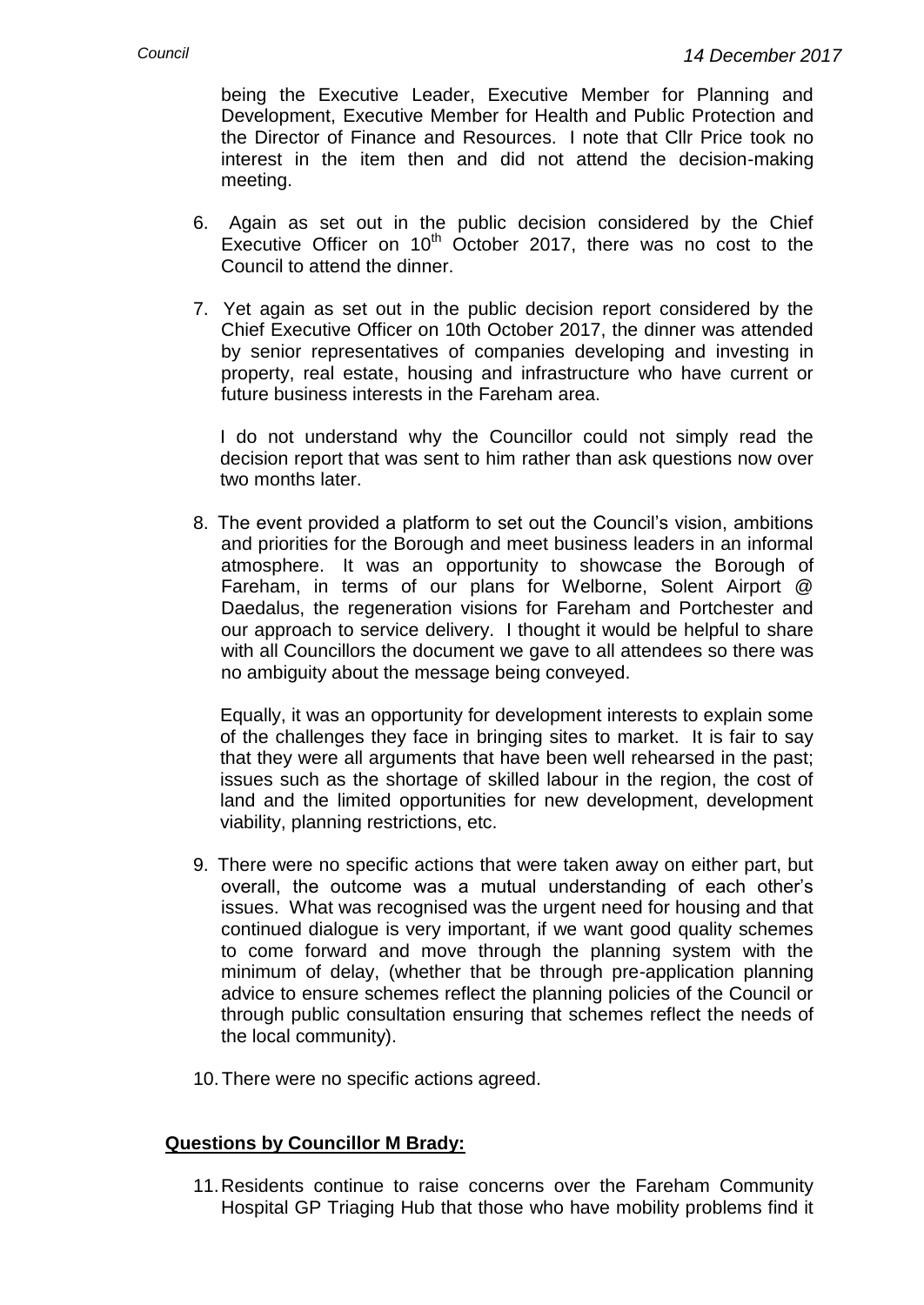being the Executive Leader, Executive Member for Planning and Development, Executive Member for Health and Public Protection and the Director of Finance and Resources. I note that Cllr Price took no interest in the item then and did not attend the decision-making meeting.

- 6. Again as set out in the public decision considered by the Chief Executive Officer on  $10^{th}$  October 2017, there was no cost to the Council to attend the dinner.
- 7. Yet again as set out in the public decision report considered by the Chief Executive Officer on 10th October 2017, the dinner was attended by senior representatives of companies developing and investing in property, real estate, housing and infrastructure who have current or future business interests in the Fareham area.

I do not understand why the Councillor could not simply read the decision report that was sent to him rather than ask questions now over two months later.

8. The event provided a platform to set out the Council's vision, ambitions and priorities for the Borough and meet business leaders in an informal atmosphere. It was an opportunity to showcase the Borough of Fareham, in terms of our plans for Welborne, Solent Airport @ Daedalus, the regeneration visions for Fareham and Portchester and our approach to service delivery. I thought it would be helpful to share with all Councillors the document we gave to all attendees so there was no ambiguity about the message being conveyed.

Equally, it was an opportunity for development interests to explain some of the challenges they face in bringing sites to market. It is fair to say that they were all arguments that have been well rehearsed in the past; issues such as the shortage of skilled labour in the region, the cost of land and the limited opportunities for new development, development viability, planning restrictions, etc.

- 9. There were no specific actions that were taken away on either part, but overall, the outcome was a mutual understanding of each other's issues. What was recognised was the urgent need for housing and that continued dialogue is very important, if we want good quality schemes to come forward and move through the planning system with the minimum of delay, (whether that be through pre-application planning advice to ensure schemes reflect the planning policies of the Council or through public consultation ensuring that schemes reflect the needs of the local community).
- 10.There were no specific actions agreed.

## **Questions by Councillor M Brady:**

11.Residents continue to raise concerns over the Fareham Community Hospital GP Triaging Hub that those who have mobility problems find it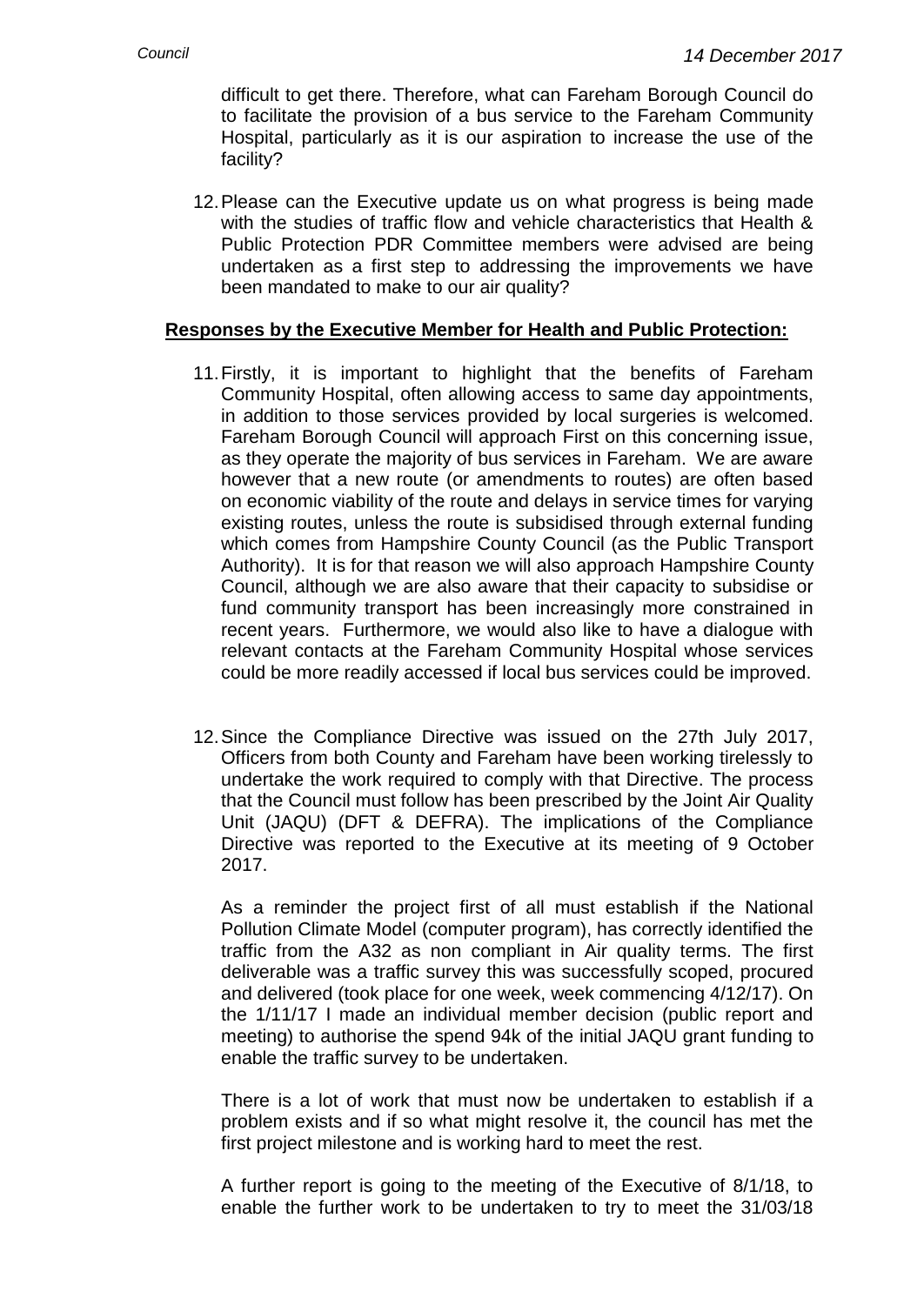difficult to get there. Therefore, what can Fareham Borough Council do to facilitate the provision of a bus service to the Fareham Community Hospital, particularly as it is our aspiration to increase the use of the facility?

12.Please can the Executive update us on what progress is being made with the studies of traffic flow and vehicle characteristics that Health & Public Protection PDR Committee members were advised are being undertaken as a first step to addressing the improvements we have been mandated to make to our air quality?

## **Responses by the Executive Member for Health and Public Protection:**

- 11.Firstly, it is important to highlight that the benefits of Fareham Community Hospital, often allowing access to same day appointments, in addition to those services provided by local surgeries is welcomed. Fareham Borough Council will approach First on this concerning issue, as they operate the majority of bus services in Fareham. We are aware however that a new route (or amendments to routes) are often based on economic viability of the route and delays in service times for varying existing routes, unless the route is subsidised through external funding which comes from Hampshire County Council (as the Public Transport Authority). It is for that reason we will also approach Hampshire County Council, although we are also aware that their capacity to subsidise or fund community transport has been increasingly more constrained in recent years. Furthermore, we would also like to have a dialogue with relevant contacts at the Fareham Community Hospital whose services could be more readily accessed if local bus services could be improved.
- 12.Since the Compliance Directive was issued on the 27th July 2017, Officers from both County and Fareham have been working tirelessly to undertake the work required to comply with that Directive. The process that the Council must follow has been prescribed by the Joint Air Quality Unit (JAQU) (DFT & DEFRA). The implications of the Compliance Directive was reported to the Executive at its meeting of 9 October 2017.

As a reminder the project first of all must establish if the National Pollution Climate Model (computer program), has correctly identified the traffic from the A32 as non compliant in Air quality terms. The first deliverable was a traffic survey this was successfully scoped, procured and delivered (took place for one week, week commencing 4/12/17). On the 1/11/17 I made an individual member decision (public report and meeting) to authorise the spend 94k of the initial JAQU grant funding to enable the traffic survey to be undertaken.

There is a lot of work that must now be undertaken to establish if a problem exists and if so what might resolve it, the council has met the first project milestone and is working hard to meet the rest.

A further report is going to the meeting of the Executive of 8/1/18, to enable the further work to be undertaken to try to meet the 31/03/18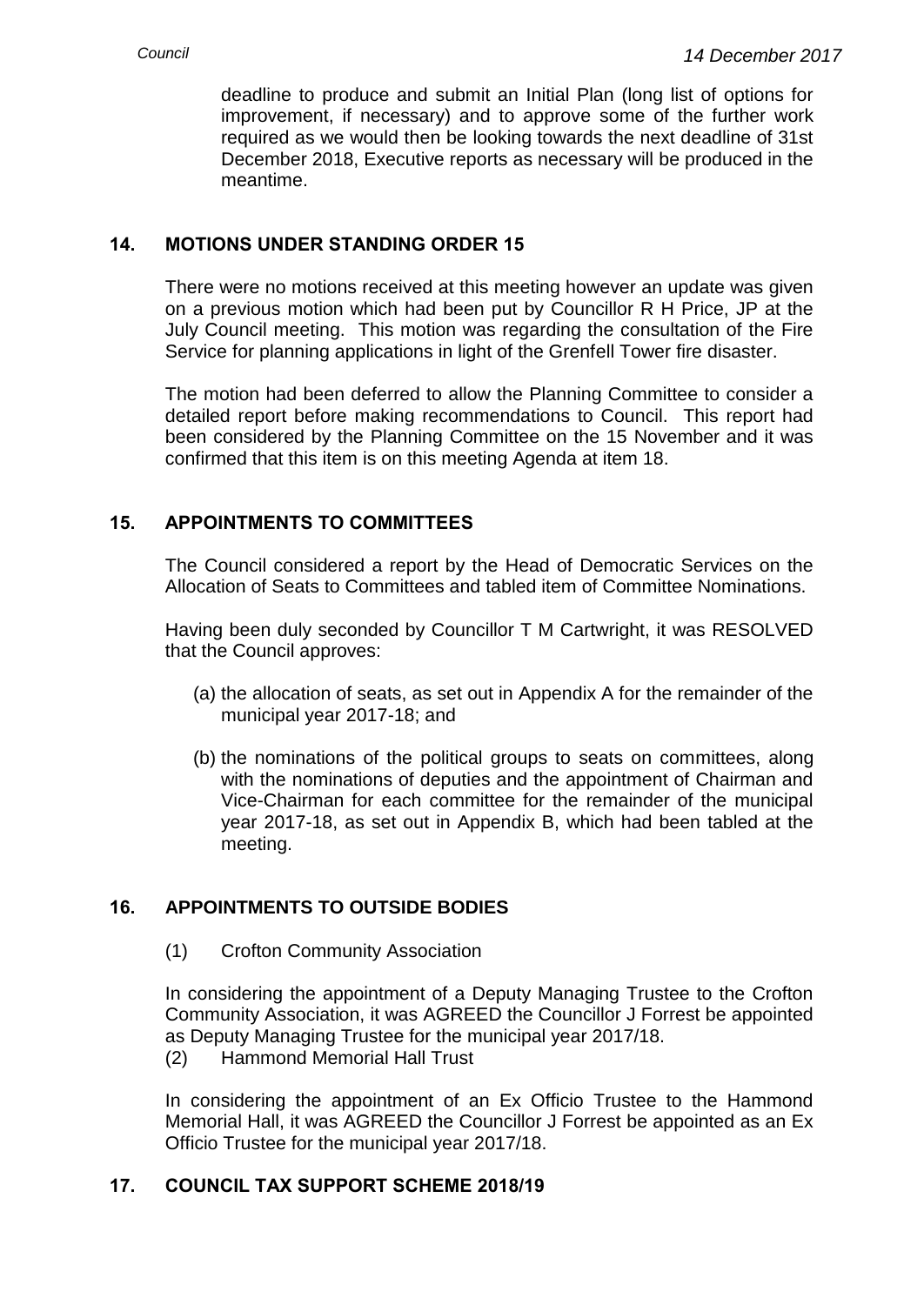deadline to produce and submit an Initial Plan (long list of options for improvement, if necessary) and to approve some of the further work required as we would then be looking towards the next deadline of 31st December 2018, Executive reports as necessary will be produced in the meantime.

# **14. MOTIONS UNDER STANDING ORDER 15**

There were no motions received at this meeting however an update was given on a previous motion which had been put by Councillor R H Price, JP at the July Council meeting. This motion was regarding the consultation of the Fire Service for planning applications in light of the Grenfell Tower fire disaster.

The motion had been deferred to allow the Planning Committee to consider a detailed report before making recommendations to Council. This report had been considered by the Planning Committee on the 15 November and it was confirmed that this item is on this meeting Agenda at item 18.

# **15. APPOINTMENTS TO COMMITTEES**

The Council considered a report by the Head of Democratic Services on the Allocation of Seats to Committees and tabled item of Committee Nominations.

Having been duly seconded by Councillor T M Cartwright, it was RESOLVED that the Council approves:

- (a) the allocation of seats, as set out in Appendix A for the remainder of the municipal year 2017-18; and
- (b) the nominations of the political groups to seats on committees, along with the nominations of deputies and the appointment of Chairman and Vice-Chairman for each committee for the remainder of the municipal year 2017-18, as set out in Appendix B, which had been tabled at the meeting.

# **16. APPOINTMENTS TO OUTSIDE BODIES**

(1) Crofton Community Association

In considering the appointment of a Deputy Managing Trustee to the Crofton Community Association, it was AGREED the Councillor J Forrest be appointed as Deputy Managing Trustee for the municipal year 2017/18.

(2) Hammond Memorial Hall Trust

In considering the appointment of an Ex Officio Trustee to the Hammond Memorial Hall, it was AGREED the Councillor J Forrest be appointed as an Ex Officio Trustee for the municipal year 2017/18.

# **17. COUNCIL TAX SUPPORT SCHEME 2018/19**